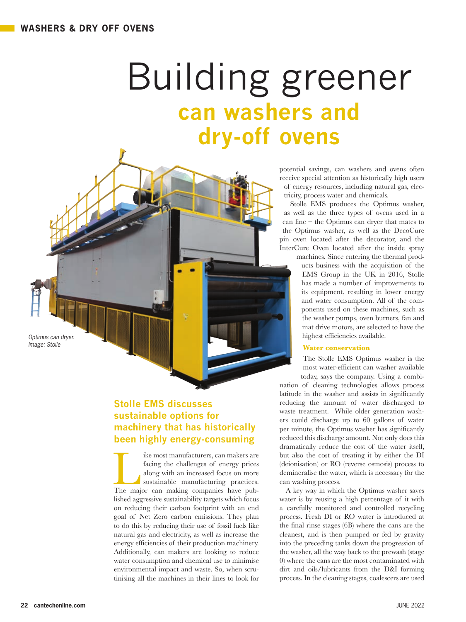# Building greener **can washers and dry-off ovens**

potential savings, can washers and ovens often receive special attention as historically high users of energy resources, including natural gas, electricity, process water and chemicals.

Stolle EMS produces the Optimus washer, as well as the three types of ovens used in a can line – the Optimus can dryer that mates to the Optimus washer, as well as the DecoCure pin oven located after the decorator, and the InterCure Oven located after the inside spray

machines. Since entering the thermal products business with the acquisition of the EMS Group in the UK in 2016, Stolle has made a number of improvements to its equipment, resulting in lower energy and water consumption. All of the components used on these machines, such as the washer pumps, oven burners, fan and mat drive motors, are selected to have the highest efficiencies available.

### **Water conservation**

The Stolle EMS Optimus washer is the most water-efficient can washer available today, says the company. Using a combi-

nation of cleaning technologies allows process latitude in the washer and assists in significantly reducing the amount of water discharged to waste treatment. While older generation washers could discharge up to 60 gallons of water per minute, the Optimus washer has significantly reduced this discharge amount. Not only does this dramatically reduce the cost of the water itself, but also the cost of treating it by either the DI (deionisation) or RO (reverse osmosis) process to demineralise the water, which is necessary for the can washing process.

A key way in which the Optimus washer saves water is by reusing a high percentage of it with a carefully monitored and controlled recycling process. Fresh DI or RO water is introduced at the final rinse stages (6B) where the cans are the cleanest, and is then pumped or fed by gravity into the preceding tanks down the progression of the washer, all the way back to the prewash (stage 0) where the cans are the most contaminated with dirt and oils/lubricants from the D&I forming process. In the cleaning stages, coalescers are used

*Optimus can dryer. Image: Stolle*

## **Stolle EMS discusses sustainable options for machinery that has historically been highly energy-consuming**

The most manufacturers, can makers are facing the challenges of energy prices along with an increased focus on more sustainable manufacturing practices. The major can making companies have pubfacing the challenges of energy prices along with an increased focus on more sustainable manufacturing practices. lished aggressive sustainability targets which focus on reducing their carbon footprint with an end goal of Net Zero carbon emissions. They plan to do this by reducing their use of fossil fuels like natural gas and electricity, as well as increase the energy efficiencies of their production machinery. Additionally, can makers are looking to reduce water consumption and chemical use to minimise environmental impact and waste. So, when scrutinising all the machines in their lines to look for